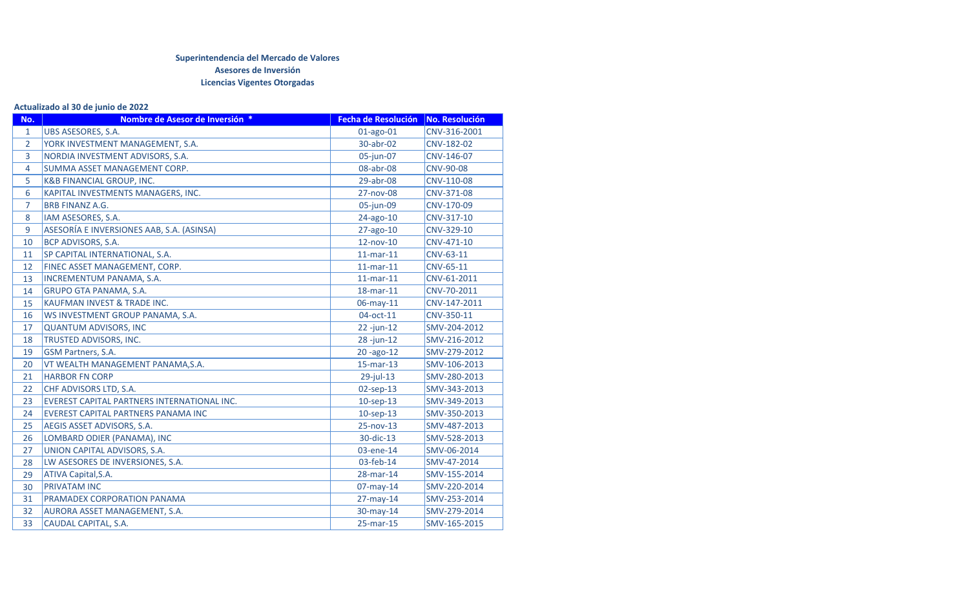## **Superintendencia del Mercado de Valores Asesores de Inversión Licencias Vigentes Otorgadas**

## **Actualizado al 30 de junio de 2022**

| No.            | Nombre de Asesor de Inversión *             | <b>Fecha de Resolución</b> | No. Resolución |
|----------------|---------------------------------------------|----------------------------|----------------|
| $\mathbf{1}$   | UBS ASESORES, S.A.                          | $01$ -ago- $01$            | CNV-316-2001   |
| $\overline{2}$ | YORK INVESTMENT MANAGEMENT, S.A.            | 30-abr-02                  | CNV-182-02     |
| 3              | NORDIA INVESTMENT ADVISORS, S.A.            | 05-jun-07                  | CNV-146-07     |
| $\overline{4}$ | SUMMA ASSET MANAGEMENT CORP.                | 08-abr-08                  | CNV-90-08      |
| 5              | <b>K&amp;B FINANCIAL GROUP, INC.</b>        | 29-abr-08                  | CNV-110-08     |
| 6              | KAPITAL INVESTMENTS MANAGERS, INC.          | 27-nov-08                  | CNV-371-08     |
| 7              | <b>BRB FINANZ A.G.</b>                      | 05-jun-09                  | CNV-170-09     |
| 8              | IAM ASESORES, S.A.                          | 24-ago-10                  | CNV-317-10     |
| 9              | ASESORÍA E INVERSIONES AAB, S.A. (ASINSA)   | 27-ago-10                  | CNV-329-10     |
| 10             | BCP ADVISORS, S.A.                          | 12-nov-10                  | CNV-471-10     |
| 11             | SP CAPITAL INTERNATIONAL, S.A.              | $11$ -mar- $11$            | CNV-63-11      |
| 12             | FINEC ASSET MANAGEMENT, CORP.               | $11$ -mar- $11$            | CNV-65-11      |
| 13             | INCREMENTUM PANAMA, S.A.                    | $11$ -mar- $11$            | CNV-61-2011    |
| 14             | <b>GRUPO GTA PANAMA, S.A.</b>               | 18-mar-11                  | CNV-70-2011    |
| 15             | KAUFMAN INVEST & TRADE INC.                 | 06-may-11                  | CNV-147-2011   |
| 16             | WS INVESTMENT GROUP PANAMA, S.A.            | 04-oct-11                  | CNV-350-11     |
| 17             | <b>QUANTUM ADVISORS, INC</b>                | $22 - jun-12$              | SMV-204-2012   |
| 18             | TRUSTED ADVISORS, INC.                      | 28-jun-12                  | SMV-216-2012   |
| 19             | GSM Partners, S.A.                          | 20-ago-12                  | SMV-279-2012   |
| 20             | VT WEALTH MANAGEMENT PANAMA, S.A.           | 15-mar-13                  | SMV-106-2013   |
| 21             | <b>HARBOR FN CORP</b>                       | $29$ -jul-13               | SMV-280-2013   |
| 22             | CHF ADVISORS LTD, S.A.                      | $02$ -sep-13               | SMV-343-2013   |
| 23             | EVEREST CAPITAL PARTNERS INTERNATIONAL INC. | $10$ -sep-13               | SMV-349-2013   |
| 24             | EVEREST CAPITAL PARTNERS PANAMA INC         | $10$ -sep-13               | SMV-350-2013   |
| 25             | AEGIS ASSET ADVISORS, S.A.                  | 25-nov-13                  | SMV-487-2013   |
| 26             | LOMBARD ODIER (PANAMA), INC                 | 30-dic-13                  | SMV-528-2013   |
| 27             | UNION CAPITAL ADVISORS, S.A.                | 03-ene-14                  | SMV-06-2014    |
| 28             | LW ASESORES DE INVERSIONES, S.A.            | 03-feb-14                  | SMV-47-2014    |
| 29             | ATIVA Capital, S.A.                         | 28-mar-14                  | SMV-155-2014   |
| 30             | <b>PRIVATAM INC</b>                         | $07$ -may-14               | SMV-220-2014   |
| 31             | PRAMADEX CORPORATION PANAMA                 | $27$ -may-14               | SMV-253-2014   |
| 32             | AURORA ASSET MANAGEMENT, S.A.               | 30-may-14                  | SMV-279-2014   |
| 33             | CAUDAL CAPITAL, S.A.                        | 25-mar-15                  | SMV-165-2015   |